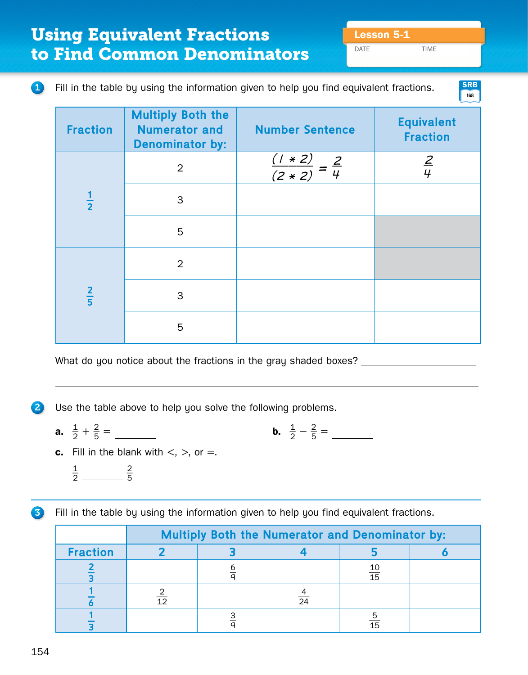DATE TIME

**168 SRB**

## **1** Fill in the table by using the information given to help you find equivalent fractions.

| <b>Fraction</b> | <b>Multiply Both the</b><br><b>Numerator and</b><br><b>Denominator by:</b> | <b>Number Sentence</b>              | <b>Equivalent</b><br><b>Fraction</b> |
|-----------------|----------------------------------------------------------------------------|-------------------------------------|--------------------------------------|
|                 | $\overline{2}$                                                             | $\frac{(1*2)}{(2*2)} = \frac{2}{4}$ | $\frac{2}{4}$                        |
| $\frac{1}{2}$   | 3                                                                          |                                     |                                      |
|                 | 5                                                                          |                                     |                                      |
|                 | $\overline{2}$                                                             |                                     |                                      |
| $rac{2}{5}$     | 3                                                                          |                                     |                                      |
|                 | 5                                                                          |                                     |                                      |

What do you notice about the fractions in the gray shaded boxes? \_\_\_\_\_\_\_\_\_\_\_\_\_\_\_

2 Use the table above to help you solve the following problems.

- **a.**  $\frac{1}{2} + \frac{2}{5} =$  **b.**  $\frac{1}{2}$  $\frac{1}{2} - \frac{2}{5} =$
- **c.** Fill in the blank with  $\lt$ ,  $\gt$ , or  $=$ .

$$
\frac{1}{2} \overline{\hspace{1cm}} \frac{2}{5}
$$

**3** Fill in the table by using the information given to help you find equivalent fractions.

|                 | <b>Multiply Both the Numerator and Denominator by:</b> |  |                 |                 |  |
|-----------------|--------------------------------------------------------|--|-----------------|-----------------|--|
| <b>Fraction</b> |                                                        |  |                 |                 |  |
|                 |                                                        |  |                 | $\frac{10}{15}$ |  |
|                 | 12                                                     |  | $\overline{24}$ |                 |  |
|                 |                                                        |  |                 | $1\overline{5}$ |  |